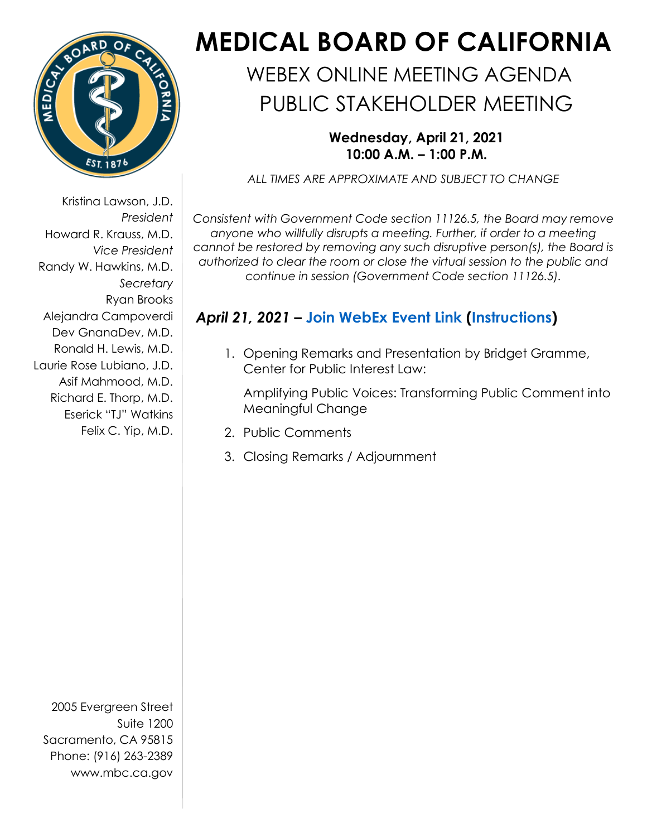

Kristina Lawson, J.D. *President* Howard R. Krauss, M.D. *Vice President* Randy W. Hawkins, M.D. *Secretary* Ryan Brooks Alejandra Campoverdi Dev GnanaDev, M.D. Ronald H. Lewis, M.D. Laurie Rose Lubiano, J.D. Asif Mahmood, M.D. Richard E. Thorp, M.D. Eserick "TJ" Watkins Felix C. Yip, M.D.

2005 Evergreen Street Suite 1200 Sacramento, CA 95815 Phone: (916) 263-2389 [www.mbc.ca.gov](http://www.mbc.ca.gov/)

## **MEDICAL BOARD OF CALIFORNIA**

## WEBEX ONLINE MEETING AGENDA PUBLIC STAKEHOLDER MEETING

## **Wednesday, April 21, 2021 10:00 A.M. – 1:00 P.M.**

*ALL TIMES ARE APPROXIMATE AND SUBJECT TO CHANGE*

*Consistent with Government Code section 11126.5, the Board may remove anyone who willfully disrupts a meeting. Further, if order to a meeting cannot be restored by removing any such disruptive person(s), the Board is authorized to clear the room or close the virtual session to the public and continue in session (Government Code section 11126.5).* 

## *April 21, 2021* **– [Join WebEx Event Link](https://dca-meetings.webex.com/dca-meetings/onstage/g.php?MTID=e61b5e00d5a1d2c16e5a291efab454225) ([Instructions\)](https://www.mbc.ca.gov/Download/User-Guides/HowToJoinAWebExEvent.pdf)**

1. Opening Remarks and Presentation by Bridget Gramme, Center for Public Interest Law:

Amplifying Public Voices: Transforming Public Comment into Meaningful Change

- 2. Public Comments
- 3. Closing Remarks / Adjournment